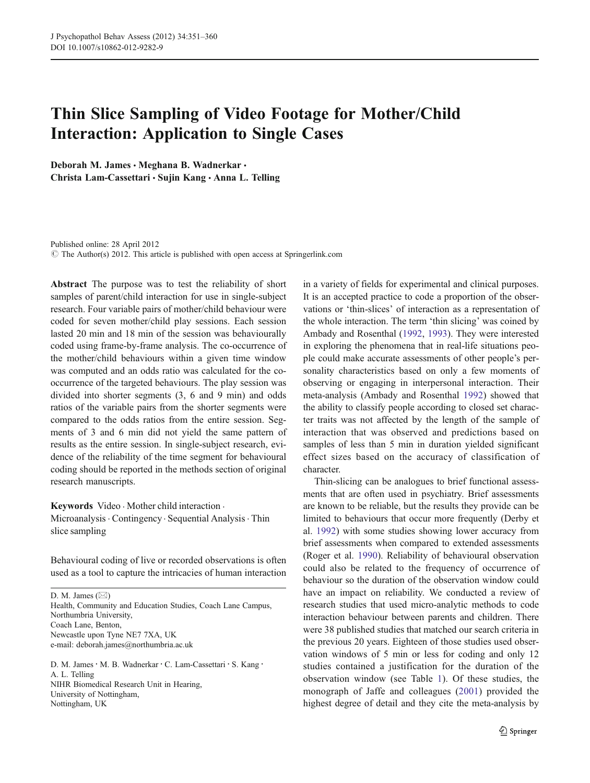# Thin Slice Sampling of Video Footage for Mother/Child Interaction: Application to Single Cases

Deborah M. James · Meghana B. Wadnerkar · Christa Lam-Cassettari & Sujin Kang & Anna L. Telling

Published online: 28 April 2012  $\circ$  The Author(s) 2012. This article is published with open access at Springerlink.com

Abstract The purpose was to test the reliability of short samples of parent/child interaction for use in single-subject research. Four variable pairs of mother/child behaviour were coded for seven mother/child play sessions. Each session lasted 20 min and 18 min of the session was behaviourally coded using frame-by-frame analysis. The co-occurrence of the mother/child behaviours within a given time window was computed and an odds ratio was calculated for the cooccurrence of the targeted behaviours. The play session was divided into shorter segments (3, 6 and 9 min) and odds ratios of the variable pairs from the shorter segments were compared to the odds ratios from the entire session. Segments of 3 and 6 min did not yield the same pattern of results as the entire session. In single-subject research, evidence of the reliability of the time segment for behavioural coding should be reported in the methods section of original research manuscripts.

Keywords Video . Mother child interaction . Microanalysis. Contingency. Sequential Analysis. Thin slice sampling

Behavioural coding of live or recorded observations is often used as a tool to capture the intricacies of human interaction

D. M. James  $(\boxtimes)$ 

Health, Community and Education Studies, Coach Lane Campus, Northumbria University, Coach Lane, Benton, Newcastle upon Tyne NE7 7XA, UK e-mail: deborah.james@northumbria.ac.uk

D. M. James · M. B. Wadnerkar · C. Lam-Cassettari · S. Kang · A. L. Telling NIHR Biomedical Research Unit in Hearing, University of Nottingham, Nottingham, UK

in a variety of fields for experimental and clinical purposes. It is an accepted practice to code a proportion of the observations or 'thin-slices' of interaction as a representation of the whole interaction. The term 'thin slicing' was coined by Ambady and Rosenthal [\(1992](#page-8-0), [1993\)](#page-8-0). They were interested in exploring the phenomena that in real-life situations people could make accurate assessments of other people's personality characteristics based on only a few moments of observing or engaging in interpersonal interaction. Their meta-analysis (Ambady and Rosenthal [1992\)](#page-8-0) showed that the ability to classify people according to closed set character traits was not affected by the length of the sample of interaction that was observed and predictions based on samples of less than 5 min in duration yielded significant effect sizes based on the accuracy of classification of character.

Thin-slicing can be analogues to brief functional assessments that are often used in psychiatry. Brief assessments are known to be reliable, but the results they provide can be limited to behaviours that occur more frequently (Derby et al. [1992](#page-8-0)) with some studies showing lower accuracy from brief assessments when compared to extended assessments (Roger et al. [1990](#page-9-0)). Reliability of behavioural observation could also be related to the frequency of occurrence of behaviour so the duration of the observation window could have an impact on reliability. We conducted a review of research studies that used micro-analytic methods to code interaction behaviour between parents and children. There were 38 published studies that matched our search criteria in the previous 20 years. Eighteen of those studies used observation windows of 5 min or less for coding and only 12 studies contained a justification for the duration of the observation window (see Table [1\)](#page-1-0). Of these studies, the monograph of Jaffe and colleagues [\(2001\)](#page-8-0) provided the highest degree of detail and they cite the meta-analysis by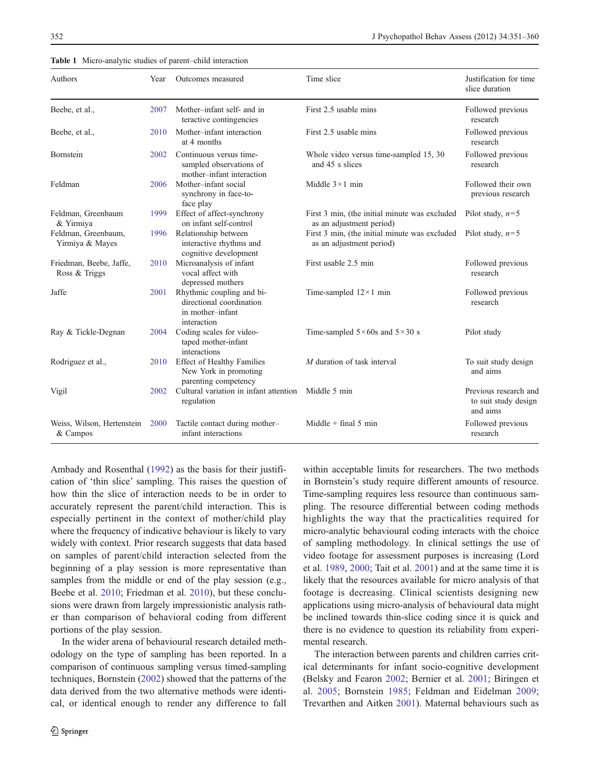<span id="page-1-0"></span>352 J Psychopathol Behav Assess (2012) 34:351–360

| Authors                                  | Year | Time slice<br>Outcomes measured                                                          |                                                                           | Justification for time<br>slice duration                  |  |
|------------------------------------------|------|------------------------------------------------------------------------------------------|---------------------------------------------------------------------------|-----------------------------------------------------------|--|
| Beebe, et al.,                           | 2007 | Mother-infant self- and in<br>teractive contingencies                                    | First 2.5 usable mins                                                     | Followed previous<br>research                             |  |
| Beebe, et al.,                           | 2010 | Mother-infant interaction<br>at 4 months                                                 | First 2.5 usable mins                                                     | Followed previous<br>research                             |  |
| Bornstein                                | 2002 | Continuous versus time-<br>sampled observations of<br>mother-infant interaction          | Whole video versus time-sampled 15, 30<br>and 45 s slices                 | Followed previous<br>research                             |  |
| Feldman                                  | 2006 | Mother-infant social<br>synchrony in face-to-<br>face play                               | Middle $3 \times 1$ min                                                   | Followed their own<br>previous research                   |  |
| Feldman, Greenbaum<br>& Yirmiya          | 1999 | Effect of affect-synchrony<br>on infant self-control                                     | First 3 min, (the initial minute was excluded<br>as an adjustment period) | Pilot study, $n=5$                                        |  |
| Feldman, Greenbaum,<br>Yirmiya & Mayes   | 1996 | Relationship between<br>interactive rhythms and<br>cognitive development                 | First 3 min, (the initial minute was excluded<br>as an adjustment period) | Pilot study, $n=5$                                        |  |
| Friedman, Beebe, Jaffe,<br>Ross & Triggs | 2010 | Microanalysis of infant<br>vocal affect with<br>depressed mothers                        | First usable 2.5 min                                                      | Followed previous<br>research                             |  |
| Jaffe                                    | 2001 | Rhythmic coupling and bi-<br>directional coordination<br>in mother-infant<br>interaction | Time-sampled $12 \times 1$ min                                            | Followed previous<br>research                             |  |
| Ray & Tickle-Degnan                      | 2004 | Coding scales for video-<br>taped mother-infant<br>interactions                          | Time-sampled $5 \times 60s$ and $5 \times 30s$                            | Pilot study                                               |  |
| Rodriguez et al.,                        | 2010 | <b>Effect of Healthy Families</b><br>New York in promoting<br>parenting competency       | M duration of task interval                                               | To suit study design<br>and aims                          |  |
| Vigil                                    | 2002 | Cultural variation in infant attention<br>regulation                                     | Middle 5 min                                                              | Previous research and<br>to suit study design<br>and aims |  |
| Weiss, Wilson, Hertenstein<br>& Campos   | 2000 | Tactile contact during mother-<br>infant interactions                                    | Middle $+$ final 5 min                                                    | Followed previous<br>research                             |  |

Table 1 Micro-analytic studies of parent–child interaction

Ambady and Rosenthal ([1992\)](#page-8-0) as the basis for their justification of 'thin slice' sampling. This raises the question of how thin the slice of interaction needs to be in order to accurately represent the parent/child interaction. This is especially pertinent in the context of mother/child play where the frequency of indicative behaviour is likely to vary widely with context. Prior research suggests that data based on samples of parent/child interaction selected from the beginning of a play session is more representative than samples from the middle or end of the play session (e.g., Beebe et al. [2010;](#page-8-0) Friedman et al. [2010](#page-8-0)), but these conclusions were drawn from largely impressionistic analysis rather than comparison of behavioral coding from different portions of the play session.

In the wider arena of behavioural research detailed methodology on the type of sampling has been reported. In a comparison of continuous sampling versus timed-sampling techniques, Bornstein [\(2002](#page-8-0)) showed that the patterns of the data derived from the two alternative methods were identical, or identical enough to render any difference to fall within acceptable limits for researchers. The two methods in Bornstein's study require different amounts of resource. Time-sampling requires less resource than continuous sampling. The resource differential between coding methods highlights the way that the practicalities required for micro-analytic behavioural coding interacts with the choice of sampling methodology. In clinical settings the use of video footage for assessment purposes is increasing (Lord et al. [1989](#page-8-0), [2000](#page-8-0); Tait et al. [2001\)](#page-9-0) and at the same time it is likely that the resources available for micro analysis of that footage is decreasing. Clinical scientists designing new applications using micro-analysis of behavioural data might be inclined towards thin-slice coding since it is quick and there is no evidence to question its reliability from experimental research.

The interaction between parents and children carries critical determinants for infant socio-cognitive development (Belsky and Fearon [2002](#page-8-0); Bernier et al. [2001;](#page-8-0) Biringen et al. [2005;](#page-8-0) Bornstein [1985](#page-8-0); Feldman and Eidelman [2009;](#page-8-0) Trevarthen and Aitken [2001](#page-9-0)). Maternal behaviours such as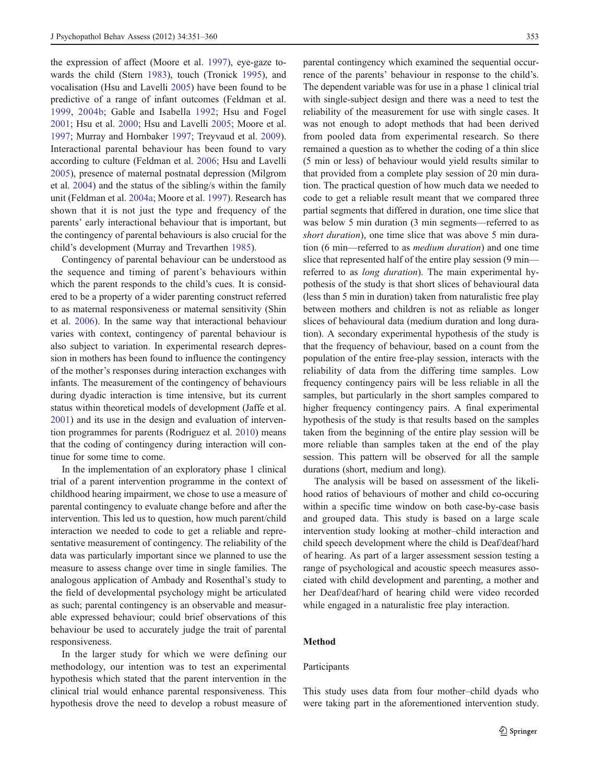the expression of affect (Moore et al. [1997\)](#page-9-0), eye-gaze towards the child (Stern [1983\)](#page-9-0), touch (Tronick [1995\)](#page-9-0), and vocalisation (Hsu and Lavelli [2005\)](#page-8-0) have been found to be predictive of a range of infant outcomes (Feldman et al. [1999,](#page-8-0) [2004b;](#page-8-0) Gable and Isabella [1992;](#page-8-0) Hsu and Fogel [2001;](#page-8-0) Hsu et al. [2000](#page-8-0); Hsu and Lavelli [2005;](#page-8-0) Moore et al. [1997;](#page-9-0) Murray and Hornbaker [1997](#page-9-0); Treyvaud et al. [2009](#page-9-0)). Interactional parental behaviour has been found to vary according to culture (Feldman et al. [2006;](#page-8-0) Hsu and Lavelli [2005\)](#page-8-0), presence of maternal postnatal depression (Milgrom et al. [2004\)](#page-8-0) and the status of the sibling/s within the family unit (Feldman et al. [2004a](#page-8-0); Moore et al. [1997](#page-9-0)). Research has shown that it is not just the type and frequency of the parents' early interactional behaviour that is important, but the contingency of parental behaviours is also crucial for the child's development (Murray and Trevarthen [1985\)](#page-9-0).

Contingency of parental behaviour can be understood as the sequence and timing of parent's behaviours within which the parent responds to the child's cues. It is considered to be a property of a wider parenting construct referred to as maternal responsiveness or maternal sensitivity (Shin et al. [2006](#page-9-0)). In the same way that interactional behaviour varies with context, contingency of parental behaviour is also subject to variation. In experimental research depression in mothers has been found to influence the contingency of the mother's responses during interaction exchanges with infants. The measurement of the contingency of behaviours during dyadic interaction is time intensive, but its current status within theoretical models of development (Jaffe et al. [2001\)](#page-8-0) and its use in the design and evaluation of intervention programmes for parents (Rodriguez et al. [2010\)](#page-9-0) means that the coding of contingency during interaction will continue for some time to come.

In the implementation of an exploratory phase 1 clinical trial of a parent intervention programme in the context of childhood hearing impairment, we chose to use a measure of parental contingency to evaluate change before and after the intervention. This led us to question, how much parent/child interaction we needed to code to get a reliable and representative measurement of contingency. The reliability of the data was particularly important since we planned to use the measure to assess change over time in single families. The analogous application of Ambady and Rosenthal's study to the field of developmental psychology might be articulated as such; parental contingency is an observable and measurable expressed behaviour; could brief observations of this behaviour be used to accurately judge the trait of parental responsiveness.

In the larger study for which we were defining our methodology, our intention was to test an experimental hypothesis which stated that the parent intervention in the clinical trial would enhance parental responsiveness. This hypothesis drove the need to develop a robust measure of parental contingency which examined the sequential occurrence of the parents' behaviour in response to the child's. The dependent variable was for use in a phase 1 clinical trial with single-subject design and there was a need to test the reliability of the measurement for use with single cases. It was not enough to adopt methods that had been derived from pooled data from experimental research. So there remained a question as to whether the coding of a thin slice (5 min or less) of behaviour would yield results similar to that provided from a complete play session of 20 min duration. The practical question of how much data we needed to code to get a reliable result meant that we compared three partial segments that differed in duration, one time slice that was below 5 min duration (3 min segments—referred to as short duration), one time slice that was above 5 min duration (6 min—referred to as medium duration) and one time slice that represented half of the entire play session (9 min referred to as long duration). The main experimental hypothesis of the study is that short slices of behavioural data (less than 5 min in duration) taken from naturalistic free play between mothers and children is not as reliable as longer slices of behavioural data (medium duration and long duration). A secondary experimental hypothesis of the study is that the frequency of behaviour, based on a count from the population of the entire free-play session, interacts with the reliability of data from the differing time samples. Low frequency contingency pairs will be less reliable in all the samples, but particularly in the short samples compared to higher frequency contingency pairs. A final experimental hypothesis of the study is that results based on the samples taken from the beginning of the entire play session will be more reliable than samples taken at the end of the play session. This pattern will be observed for all the sample durations (short, medium and long).

The analysis will be based on assessment of the likelihood ratios of behaviours of mother and child co-occuring within a specific time window on both case-by-case basis and grouped data. This study is based on a large scale intervention study looking at mother–child interaction and child speech development where the child is Deaf/deaf/hard of hearing. As part of a larger assessment session testing a range of psychological and acoustic speech measures associated with child development and parenting, a mother and her Deaf/deaf/hard of hearing child were video recorded while engaged in a naturalistic free play interaction.

## Method

#### Participants

This study uses data from four mother–child dyads who were taking part in the aforementioned intervention study.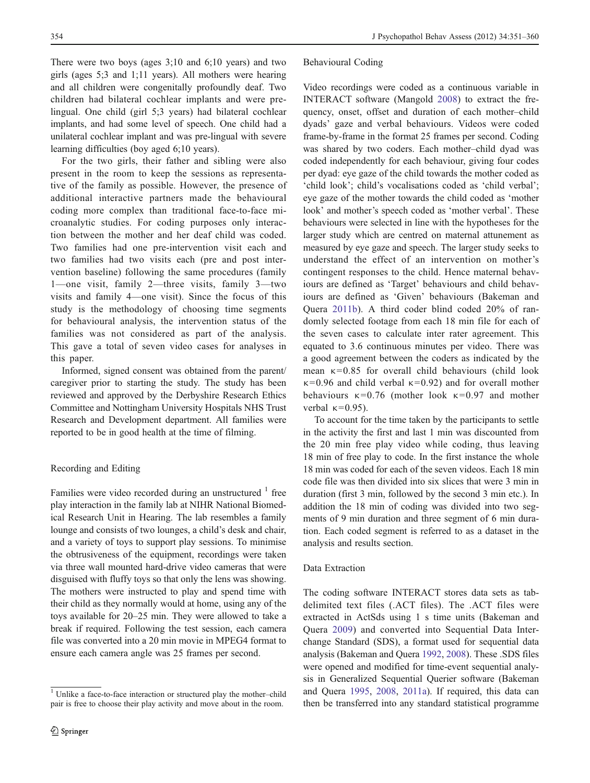There were two boys (ages 3;10 and 6;10 years) and two girls (ages 5;3 and 1;11 years). All mothers were hearing and all children were congenitally profoundly deaf. Two children had bilateral cochlear implants and were prelingual. One child (girl 5;3 years) had bilateral cochlear implants, and had some level of speech. One child had a unilateral cochlear implant and was pre-lingual with severe learning difficulties (boy aged 6;10 years).

For the two girls, their father and sibling were also present in the room to keep the sessions as representative of the family as possible. However, the presence of additional interactive partners made the behavioural coding more complex than traditional face-to-face microanalytic studies. For coding purposes only interaction between the mother and her deaf child was coded. Two families had one pre-intervention visit each and two families had two visits each (pre and post intervention baseline) following the same procedures (family 1—one visit, family 2—three visits, family 3—two visits and family 4—one visit). Since the focus of this study is the methodology of choosing time segments for behavioural analysis, the intervention status of the families was not considered as part of the analysis. This gave a total of seven video cases for analyses in this paper.

Informed, signed consent was obtained from the parent/ caregiver prior to starting the study. The study has been reviewed and approved by the Derbyshire Research Ethics Committee and Nottingham University Hospitals NHS Trust Research and Development department. All families were reported to be in good health at the time of filming.

## Recording and Editing

Families were video recorded during an unstructured  $1$  free play interaction in the family lab at NIHR National Biomedical Research Unit in Hearing. The lab resembles a family lounge and consists of two lounges, a child's desk and chair, and a variety of toys to support play sessions. To minimise the obtrusiveness of the equipment, recordings were taken via three wall mounted hard-drive video cameras that were disguised with fluffy toys so that only the lens was showing. The mothers were instructed to play and spend time with their child as they normally would at home, using any of the toys available for 20–25 min. They were allowed to take a break if required. Following the test session, each camera file was converted into a 20 min movie in MPEG4 format to ensure each camera angle was 25 frames per second.

#### Behavioural Coding

Video recordings were coded as a continuous variable in INTERACT software (Mangold [2008\)](#page-8-0) to extract the frequency, onset, offset and duration of each mother–child dyads' gaze and verbal behaviours. Videos were coded frame-by-frame in the format 25 frames per second. Coding was shared by two coders. Each mother–child dyad was coded independently for each behaviour, giving four codes per dyad: eye gaze of the child towards the mother coded as 'child look'; child's vocalisations coded as 'child verbal'; eye gaze of the mother towards the child coded as 'mother look' and mother's speech coded as 'mother verbal'. These behaviours were selected in line with the hypotheses for the larger study which are centred on maternal attunement as measured by eye gaze and speech. The larger study seeks to understand the effect of an intervention on mother's contingent responses to the child. Hence maternal behaviours are defined as 'Target' behaviours and child behaviours are defined as 'Given' behaviours (Bakeman and Quera [2011b\)](#page-8-0). A third coder blind coded 20% of randomly selected footage from each 18 min file for each of the seven cases to calculate inter rater agreement. This equated to 3.6 continuous minutes per video. There was a good agreement between the coders as indicated by the mean  $\kappa$ =0.85 for overall child behaviours (child look  $\kappa$ =0.96 and child verbal  $\kappa$ =0.92) and for overall mother behaviours  $\kappa=0.76$  (mother look  $\kappa=0.97$  and mother verbal  $\kappa$ =0.95).

To account for the time taken by the participants to settle in the activity the first and last 1 min was discounted from the 20 min free play video while coding, thus leaving 18 min of free play to code. In the first instance the whole 18 min was coded for each of the seven videos. Each 18 min code file was then divided into six slices that were 3 min in duration (first 3 min, followed by the second 3 min etc.). In addition the 18 min of coding was divided into two segments of 9 min duration and three segment of 6 min duration. Each coded segment is referred to as a dataset in the analysis and results section.

#### Data Extraction

The coding software INTERACT stores data sets as tabdelimited text files (.ACT files). The .ACT files were extracted in ActSds using 1 s time units (Bakeman and Quera [2009](#page-8-0)) and converted into Sequential Data Interchange Standard (SDS), a format used for sequential data analysis (Bakeman and Quera [1992](#page-8-0), [2008\)](#page-8-0). These .SDS files were opened and modified for time-event sequential analysis in Generalized Sequential Querier software (Bakeman and Quera [1995](#page-8-0), [2008,](#page-8-0) [2011a\)](#page-8-0). If required, this data can then be transferred into any standard statistical programme

<sup>&</sup>lt;sup>1</sup> Unlike a face-to-face interaction or structured play the mother-child pair is free to choose their play activity and move about in the room.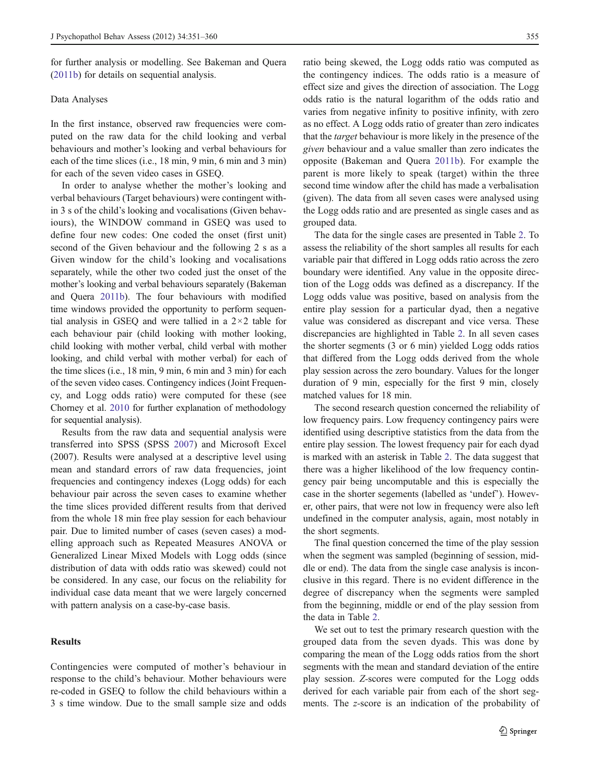for further analysis or modelling. See Bakeman and Quera [\(2011b\)](#page-8-0) for details on sequential analysis.

### Data Analyses

In the first instance, observed raw frequencies were computed on the raw data for the child looking and verbal behaviours and mother's looking and verbal behaviours for each of the time slices (i.e., 18 min, 9 min, 6 min and 3 min) for each of the seven video cases in GSEQ.

In order to analyse whether the mother's looking and verbal behaviours (Target behaviours) were contingent within 3 s of the child's looking and vocalisations (Given behaviours), the WINDOW command in GSEQ was used to define four new codes: One coded the onset (first unit) second of the Given behaviour and the following 2 s as a Given window for the child's looking and vocalisations separately, while the other two coded just the onset of the mother's looking and verbal behaviours separately (Bakeman and Quera [2011b\)](#page-8-0). The four behaviours with modified time windows provided the opportunity to perform sequential analysis in GSEQ and were tallied in a  $2\times 2$  table for each behaviour pair (child looking with mother looking, child looking with mother verbal, child verbal with mother looking, and child verbal with mother verbal) for each of the time slices (i.e., 18 min, 9 min, 6 min and 3 min) for each of the seven video cases. Contingency indices (Joint Frequency, and Logg odds ratio) were computed for these (see Chorney et al. [2010](#page-8-0) for further explanation of methodology for sequential analysis).

Results from the raw data and sequential analysis were transferred into SPSS (SPSS [2007\)](#page-9-0) and Microsoft Excel (2007). Results were analysed at a descriptive level using mean and standard errors of raw data frequencies, joint frequencies and contingency indexes (Logg odds) for each behaviour pair across the seven cases to examine whether the time slices provided different results from that derived from the whole 18 min free play session for each behaviour pair. Due to limited number of cases (seven cases) a modelling approach such as Repeated Measures ANOVA or Generalized Linear Mixed Models with Logg odds (since distribution of data with odds ratio was skewed) could not be considered. In any case, our focus on the reliability for individual case data meant that we were largely concerned with pattern analysis on a case-by-case basis.

## **Results**

Contingencies were computed of mother's behaviour in response to the child's behaviour. Mother behaviours were re-coded in GSEQ to follow the child behaviours within a 3 s time window. Due to the small sample size and odds ratio being skewed, the Logg odds ratio was computed as the contingency indices. The odds ratio is a measure of effect size and gives the direction of association. The Logg odds ratio is the natural logarithm of the odds ratio and varies from negative infinity to positive infinity, with zero as no effect. A Logg odds ratio of greater than zero indicates that the target behaviour is more likely in the presence of the given behaviour and a value smaller than zero indicates the opposite (Bakeman and Quera [2011b](#page-8-0)). For example the parent is more likely to speak (target) within the three second time window after the child has made a verbalisation (given). The data from all seven cases were analysed using the Logg odds ratio and are presented as single cases and as grouped data.

The data for the single cases are presented in Table [2.](#page-5-0) To assess the reliability of the short samples all results for each variable pair that differed in Logg odds ratio across the zero boundary were identified. Any value in the opposite direction of the Logg odds was defined as a discrepancy. If the Logg odds value was positive, based on analysis from the entire play session for a particular dyad, then a negative value was considered as discrepant and vice versa. These discrepancies are highlighted in Table [2](#page-5-0). In all seven cases the shorter segments (3 or 6 min) yielded Logg odds ratios that differed from the Logg odds derived from the whole play session across the zero boundary. Values for the longer duration of 9 min, especially for the first 9 min, closely matched values for 18 min.

The second research question concerned the reliability of low frequency pairs. Low frequency contingency pairs were identified using descriptive statistics from the data from the entire play session. The lowest frequency pair for each dyad is marked with an asterisk in Table [2.](#page-5-0) The data suggest that there was a higher likelihood of the low frequency contingency pair being uncomputable and this is especially the case in the shorter segements (labelled as 'undef'). However, other pairs, that were not low in frequency were also left undefined in the computer analysis, again, most notably in the short segments.

The final question concerned the time of the play session when the segment was sampled (beginning of session, middle or end). The data from the single case analysis is inconclusive in this regard. There is no evident difference in the degree of discrepancy when the segments were sampled from the beginning, middle or end of the play session from the data in Table [2](#page-5-0).

We set out to test the primary research question with the grouped data from the seven dyads. This was done by comparing the mean of the Logg odds ratios from the short segments with the mean and standard deviation of the entire play session. Z-scores were computed for the Logg odds derived for each variable pair from each of the short segments. The z-score is an indication of the probability of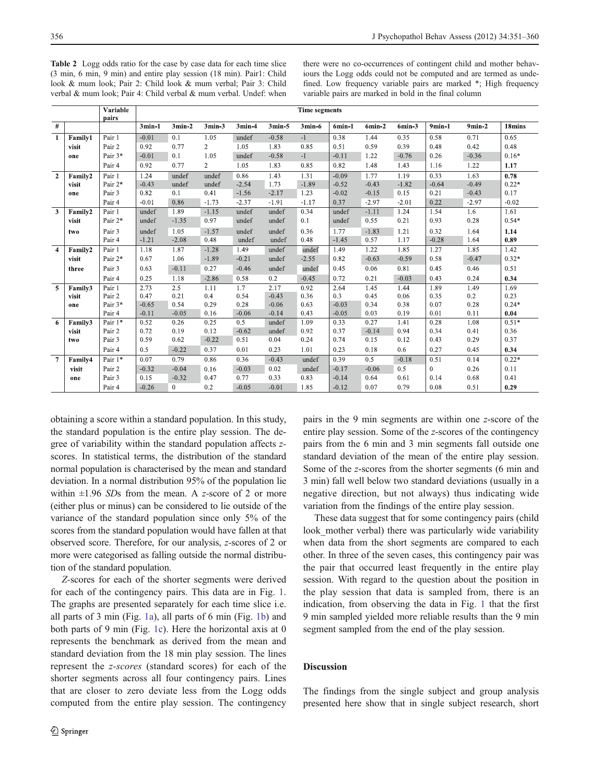|                         |         | Variable<br>pairs | Time segments |          |                |          |         |          |          |         |          |              |         |         |
|-------------------------|---------|-------------------|---------------|----------|----------------|----------|---------|----------|----------|---------|----------|--------------|---------|---------|
| $^{\#}$                 |         |                   | 3min 1        | 3min 2   | $3min-3$       | $3min-4$ | 3min 5  | $3min-6$ | $6min-1$ | 6min 2  | $6min-3$ | $9min-1$     | 9min 2  | 18mins  |
| $\mathbf{1}$            | Family1 | Pair 1            | $-0.01$       | 0.1      | 1.05           | undef    | $-0.58$ | $-1$     | 0.38     | 1.44    | 0.35     | 0.58         | 0.71    | 0.65    |
|                         | visit   | Pair 2            | 0.92          | 0.77     | $\overline{2}$ | 1.05     | 1.83    | 0.85     | 0.51     | 0.59    | 0.39     | 0.48         | 0.42    | 0.48    |
|                         | one     | Pair 3*           | $-0.01$       | 0.1      | 1.05           | undef    | $-0.58$ | $-1$     | $-0.11$  | 1.22    | $-0.76$  | 0.26         | $-0.36$ | $0.16*$ |
|                         |         | Pair 4            | 0.92          | 0.77     | $\overline{2}$ | 1.05     | 1.83    | 0.85     | 0.82     | 1.48    | 1.43     | 1.16         | 1.22    | 1.17    |
| $\overline{2}$          | Family2 | Pair 1            | 1.24          | undef    | undef          | 0.86     | 1.43    | 1.31     | $-0.09$  | 1.77    | 1.19     | 0.33         | 1.63    | 0.78    |
|                         | visit   | Pair 2*           | $-0.43$       | undef    | undef          | $-2.54$  | 1.73    | $-1.89$  | $-0.52$  | $-0.43$ | $-1.82$  | $-0.64$      | $-0.49$ | $0.22*$ |
|                         | one     | Pair 3            | 0.82          | 0.1      | 0.41           | $-1.56$  | $-2.17$ | 1.23     | $-0.02$  | $-0.15$ | 0.15     | 0.21         | $-0.43$ | 0.17    |
|                         |         | Pair 4            | $-0.01$       | 0.86     | $-1.73$        | $-2.37$  | $-1.91$ | $-1.17$  | 0.37     | $-2.97$ | $-2.01$  | 0.22         | $-2.97$ | $-0.02$ |
| $\mathbf{3}$            | Family2 | Pair 1            | undef         | 1.89     | $-1.15$        | undef    | undef   | 0.34     | undef    | $-1.11$ | 1.24     | 1.54         | 1.6     | 1.61    |
|                         | visit   | Pair 2*           | undef         | $-1.35$  | 0.97           | undef    | undef   | 0.1      | undef    | 0.55    | 0.21     | 0.93         | 0.28    | $0.54*$ |
|                         | two     | Pair 3            | undef         | 1.05     | $-1.57$        | undef    | undef   | 0.36     | 1.77     | $-1.83$ | 1.21     | 0.32         | 1.64    | 1.14    |
|                         |         | Pair 4            | $-1.21$       | $-2.08$  | 0.48           | undef    | undef   | 0.48     | $-1.45$  | 0.57    | 1.17     | $-0.28$      | 1.64    | 0.89    |
| $\overline{\mathbf{4}}$ | Family2 | Pair 1            | 1.18          | 1.87     | $-1.28$        | 1.49     | undef   | undef    | 1.49     | 1.22    | 1.85     | 1.27         | 1.85    | 1.42    |
|                         | visit   | Pair 2*           | 0.67          | 1.06     | $-1.89$        | $-0.21$  | undef   | $-2.55$  | 0.82     | $-0.63$ | $-0.59$  | 0.58         | $-0.47$ | $0.32*$ |
|                         | three   | Pair 3            | 0.63          | $-0.11$  | 0.27           | $-0.46$  | undef   | undef    | 0.45     | 0.06    | 0.81     | 0.45         | 0.46    | 0.51    |
|                         |         | Pair 4            | 0.25          | 1.18     | $-2.86$        | 0.58     | 0.2     | $-0.45$  | 0.72     | 0.21    | $-0.03$  | 0.43         | 0.24    | 0.34    |
| $\overline{\mathbf{5}}$ | Family3 | Pair 1            | 2.73          | 2.5      | 1.11           | 1.7      | 2.17    | 0.92     | 2.64     | 1.45    | 1.44     | 1.89         | 1.49    | 1.69    |
|                         | visit   | Pair 2            | 0.47          | 0.21     | 0.4            | 0.54     | $-0.43$ | 0.36     | 0.3      | 0.45    | 0.06     | 0.35         | 0.2     | 0.23    |
|                         | one     | Pair 3*           | $-0.65$       | 0.54     | 0.29           | 0.28     | $-0.06$ | 0.63     | $-0.03$  | 0.34    | 0.38     | 0.07         | 0.28    | $0.24*$ |
|                         |         | Pair 4            | $-0.11$       | $-0.05$  | 0.16           | $-0.06$  | $-0.14$ | 0.43     | $-0.05$  | 0.03    | 0.19     | 0.01         | 0.11    | 0.04    |
| 6                       | Family3 | Pair 1*           | 0.52          | 0.26     | 0.25           | 0.5      | undef   | 1.09     | 0.33     | 0.27    | 1.41     | 0.28         | 1.08    | $0.51*$ |
|                         | visit   | Pair 2            | 0.72          | 0.19     | 0.12           | $-0.62$  | undef   | 0.92     | 0.37     | $-0.14$ | 0.94     | 0.34         | 0.41    | 0.36    |
|                         | two     | Pair 3            | 0.59          | 0.62     | $-0.22$        | 0.51     | 0.04    | 0.24     | 0.74     | 0.15    | 0.12     | 0.43         | 0.29    | 0.37    |
|                         |         | Pair 4            | 0.5           | $-0.22$  | 0.37           | 0.01     | 0.23    | 1.01     | 0.23     | 0.18    | 0.6      | 0.27         | 0.45    | 0.34    |
| $\overline{7}$          | Family4 | Pair 1*           | 0.07          | 0.79     | 0.86           | 0.36     | $-0.43$ | undef    | 0.39     | 0.5     | $-0.18$  | 0.51         | 0.14    | $0.22*$ |
|                         | visit   | Pair 2            | $-0.32$       | $-0.04$  | 0.16           | $-0.03$  | 0.02    | undef    | $-0.17$  | $-0.06$ | 0.5      | $\mathbf{0}$ | 0.26    | 0.11    |
|                         | one     | Pair 3            | 0.15          | $-0.32$  | 0.47           | 0.77     | 0.33    | 0.83     | $-0.14$  | 0.64    | 0.61     | 0.14         | 0.68    | 0.41    |
|                         |         | Pair 4            | $-0.26$       | $\theta$ | 0.2            | $-0.05$  | $-0.01$ | 1.85     | $-0.12$  | 0.07    | 0.79     | 0.08         | 0.51    | 0.29    |

<span id="page-5-0"></span>Table 2 Logg odds ratio for the case by case data for each time slice (3 min, 6 min, 9 min) and entire play session (18 min). Pair1: Child look & mum look; Pair 2: Child look & mum verbal; Pair 3: Child verbal & mum look; Pair 4: Child verbal & mum verbal. Undef: when

there were no co-occurrences of contingent child and mother behaviours the Logg odds could not be computed and are termed as undefined. Low frequency variable pairs are marked \*; High frequency variable pairs are marked in bold in the final column

obtaining a score within a standard population. In this study, the standard population is the entire play session. The degree of variability within the standard population affects zscores. In statistical terms, the distribution of the standard normal population is characterised by the mean and standard deviation. In a normal distribution 95% of the population lie within  $\pm 1.96$  SDs from the mean. A z-score of 2 or more (either plus or minus) can be considered to lie outside of the variance of the standard population since only 5% of the scores from the standard population would have fallen at that observed score. Therefore, for our analysis, z-scores of 2 or more were categorised as falling outside the normal distribution of the standard population.

Z-scores for each of the shorter segments were derived for each of the contingency pairs. This data are in Fig. [1.](#page-6-0) The graphs are presented separately for each time slice i.e. all parts of 3 min (Fig. [1a](#page-6-0)), all parts of 6 min (Fig. [1b](#page-6-0)) and both parts of 9 min (Fig. [1c](#page-6-0)). Here the horizontal axis at 0 represents the benchmark as derived from the mean and standard deviation from the 18 min play session. The lines represent the z-scores (standard scores) for each of the shorter segments across all four contingency pairs. Lines that are closer to zero deviate less from the Logg odds computed from the entire play session. The contingency pairs in the 9 min segments are within one z-score of the entire play session. Some of the z-scores of the contingency pairs from the 6 min and 3 min segments fall outside one standard deviation of the mean of the entire play session. Some of the z-scores from the shorter segments (6 min and 3 min) fall well below two standard deviations (usually in a negative direction, but not always) thus indicating wide variation from the findings of the entire play session.

These data suggest that for some contingency pairs (child look mother verbal) there was particularly wide variability when data from the short segments are compared to each other. In three of the seven cases, this contingency pair was the pair that occurred least frequently in the entire play session. With regard to the question about the position in the play session that data is sampled from, there is an indication, from observing the data in Fig. [1](#page-6-0) that the first 9 min sampled yielded more reliable results than the 9 min segment sampled from the end of the play session.

## Discussion

The findings from the single subject and group analysis presented here show that in single subject research, short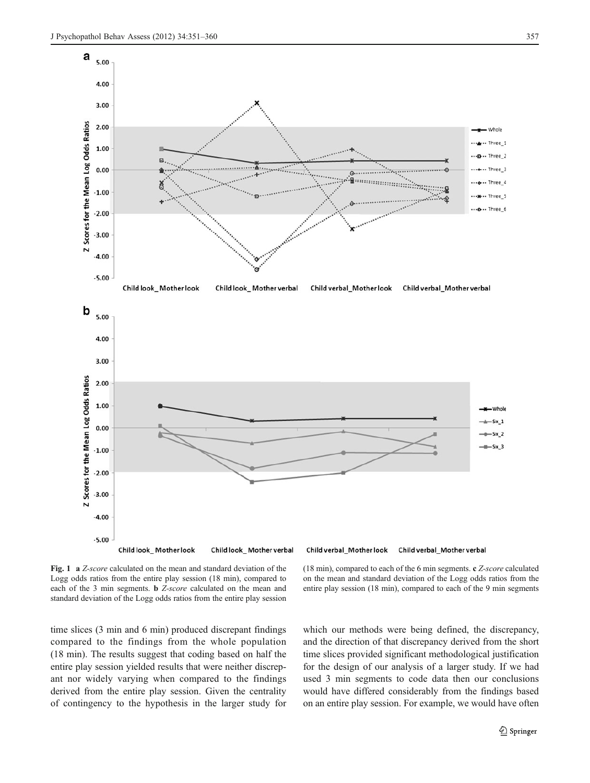<span id="page-6-0"></span>

Fig. 1 a Z-score calculated on the mean and standard deviation of the Logg odds ratios from the entire play session (18 min), compared to each of the 3 min segments. b Z-score calculated on the mean and standard deviation of the Logg odds ratios from the entire play session

time slices (3 min and 6 min) produced discrepant findings compared to the findings from the whole population (18 min). The results suggest that coding based on half the entire play session yielded results that were neither discrepant nor widely varying when compared to the findings derived from the entire play session. Given the centrality of contingency to the hypothesis in the larger study for

(18 min), compared to each of the 6 min segments. c Z-score calculated on the mean and standard deviation of the Logg odds ratios from the entire play session (18 min), compared to each of the 9 min segments

which our methods were being defined, the discrepancy, and the direction of that discrepancy derived from the short time slices provided significant methodological justification for the design of our analysis of a larger study. If we had used 3 min segments to code data then our conclusions would have differed considerably from the findings based on an entire play session. For example, we would have often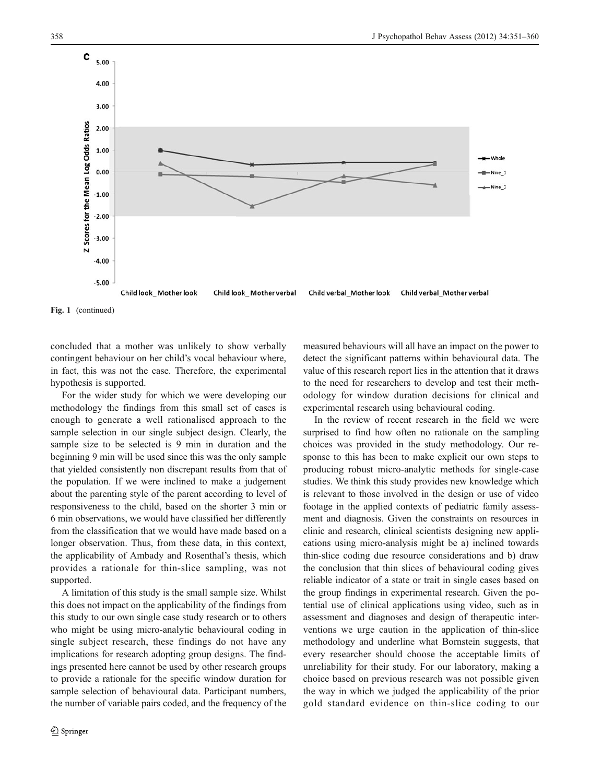

Fig. 1 (continued)

concluded that a mother was unlikely to show verbally contingent behaviour on her child's vocal behaviour where, in fact, this was not the case. Therefore, the experimental hypothesis is supported.

For the wider study for which we were developing our methodology the findings from this small set of cases is enough to generate a well rationalised approach to the sample selection in our single subject design. Clearly, the sample size to be selected is 9 min in duration and the beginning 9 min will be used since this was the only sample that yielded consistently non discrepant results from that of the population. If we were inclined to make a judgement about the parenting style of the parent according to level of responsiveness to the child, based on the shorter 3 min or 6 min observations, we would have classified her differently from the classification that we would have made based on a longer observation. Thus, from these data, in this context, the applicability of Ambady and Rosenthal's thesis, which provides a rationale for thin-slice sampling, was not supported.

A limitation of this study is the small sample size. Whilst this does not impact on the applicability of the findings from this study to our own single case study research or to others who might be using micro-analytic behavioural coding in single subject research, these findings do not have any implications for research adopting group designs. The findings presented here cannot be used by other research groups to provide a rationale for the specific window duration for sample selection of behavioural data. Participant numbers, the number of variable pairs coded, and the frequency of the measured behaviours will all have an impact on the power to detect the significant patterns within behavioural data. The value of this research report lies in the attention that it draws to the need for researchers to develop and test their methodology for window duration decisions for clinical and experimental research using behavioural coding.

In the review of recent research in the field we were surprised to find how often no rationale on the sampling choices was provided in the study methodology. Our response to this has been to make explicit our own steps to producing robust micro-analytic methods for single-case studies. We think this study provides new knowledge which is relevant to those involved in the design or use of video footage in the applied contexts of pediatric family assessment and diagnosis. Given the constraints on resources in clinic and research, clinical scientists designing new applications using micro-analysis might be a) inclined towards thin-slice coding due resource considerations and b) draw the conclusion that thin slices of behavioural coding gives reliable indicator of a state or trait in single cases based on the group findings in experimental research. Given the potential use of clinical applications using video, such as in assessment and diagnoses and design of therapeutic interventions we urge caution in the application of thin-slice methodology and underline what Bornstein suggests, that every researcher should choose the acceptable limits of unreliability for their study. For our laboratory, making a choice based on previous research was not possible given the way in which we judged the applicability of the prior gold standard evidence on thin-slice coding to our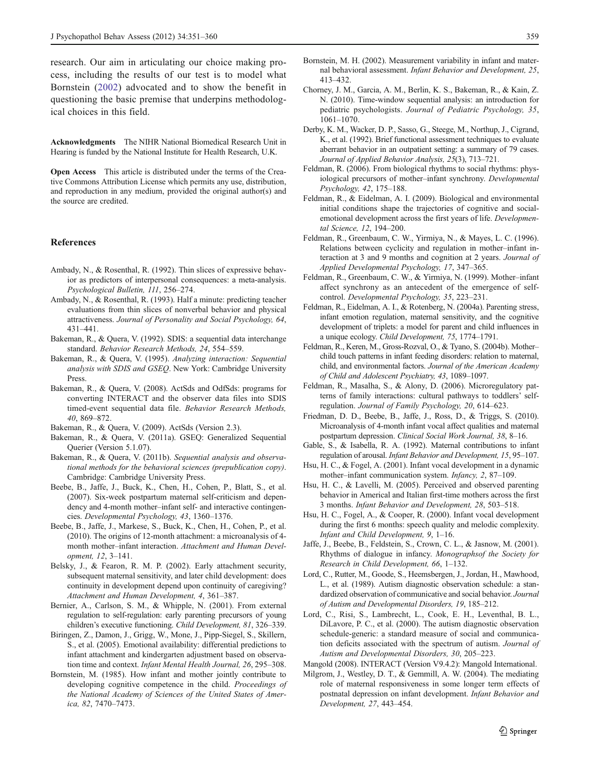<span id="page-8-0"></span>research. Our aim in articulating our choice making process, including the results of our test is to model what Bornstein (2002) advocated and to show the benefit in questioning the basic premise that underpins methodological choices in this field.

Acknowledgments The NIHR National Biomedical Research Unit in Hearing is funded by the National Institute for Health Research, U.K.

Open Access This article is distributed under the terms of the Creative Commons Attribution License which permits any use, distribution, and reproduction in any medium, provided the original author(s) and the source are credited.

#### References

- Ambady, N., & Rosenthal, R. (1992). Thin slices of expressive behavior as predictors of interpersonal consequences: a meta-analysis. Psychological Bulletin, 111, 256–274.
- Ambady, N., & Rosenthal, R. (1993). Half a minute: predicting teacher evaluations from thin slices of nonverbal behavior and physical attractiveness. Journal of Personality and Social Psychology, 64, 431–441.
- Bakeman, R., & Quera, V. (1992). SDIS: a sequential data interchange standard. Behavior Research Methods, 24, 554–559.
- Bakeman, R., & Quera, V. (1995). Analyzing interaction: Sequential analysis with SDIS and GSEQ. New York: Cambridge University Press.
- Bakeman, R., & Quera, V. (2008). ActSds and OdfSds: programs for converting INTERACT and the observer data files into SDIS timed-event sequential data file. Behavior Research Methods, 40, 869–872.
- Bakeman, R., & Quera, V. (2009). ActSds (Version 2.3).
- Bakeman, R., & Quera, V. (2011a). GSEQ: Generalized Sequential Querier (Version 5.1.07).
- Bakeman, R., & Quera, V. (2011b). Sequential analysis and observational methods for the behavioral sciences (prepublication copy). Cambridge: Cambridge University Press.
- Beebe, B., Jaffe, J., Buck, K., Chen, H., Cohen, P., Blatt, S., et al. (2007). Six-week postpartum maternal self-criticism and dependency and 4-month mother–infant self- and interactive contingencies. Developmental Psychology, 43, 1360–1376.
- Beebe, B., Jaffe, J., Markese, S., Buck, K., Chen, H., Cohen, P., et al. (2010). The origins of 12-month attachment: a microanalysis of 4 month mother–infant interaction. Attachment and Human Development, 12, 3–141.
- Belsky, J., & Fearon, R. M. P. (2002). Early attachment security, subsequent maternal sensitivity, and later child development: does continuity in development depend upon continuity of caregiving? Attachment and Human Development, 4, 361–387.
- Bernier, A., Carlson, S. M., & Whipple, N. (2001). From external regulation to self-regulation: early parenting precursors of young children's executive functioning. Child Development, 81, 326–339.
- Biringen, Z., Damon, J., Grigg, W., Mone, J., Pipp-Siegel, S., Skillern, S., et al. (2005). Emotional availability: differential predictions to infant attachment and kindergarten adjustment based on observation time and context. Infant Mental Health Journal, 26, 295–308.
- Bornstein, M. (1985). How infant and mother jointly contribute to developing cognitive competence in the child. Proceedings of the National Academy of Sciences of the United States of America, 82, 7470–7473.
- Bornstein, M. H. (2002). Measurement variability in infant and maternal behavioral assessment. Infant Behavior and Development, 25, 413–432.
- Chorney, J. M., Garcia, A. M., Berlin, K. S., Bakeman, R., & Kain, Z. N. (2010). Time-window sequential analysis: an introduction for pediatric psychologists. Journal of Pediatric Psychology, 35, 1061–1070.
- Derby, K. M., Wacker, D. P., Sasso, G., Steege, M., Northup, J., Cigrand, K., et al. (1992). Brief functional assessment techniques to evaluate aberrant behavior in an outpatient setting: a summary of 79 cases. Journal of Applied Behavior Analysis, 25(3), 713–721.
- Feldman, R. (2006). From biological rhythms to social rhythms: physiological precursors of mother–infant synchrony. Developmental Psychology, 42, 175–188.
- Feldman, R., & Eidelman, A. I. (2009). Biological and environmental initial conditions shape the trajectories of cognitive and socialemotional development across the first years of life. Developmental Science, 12, 194–200.
- Feldman, R., Greenbaum, C. W., Yirmiya, N., & Mayes, L. C. (1996). Relations between cyclicity and regulation in mother–infant interaction at 3 and 9 months and cognition at 2 years. Journal of Applied Developmental Psychology, 17, 347–365.
- Feldman, R., Greenbaum, C. W., & Yirmiya, N. (1999). Mother–infant affect synchrony as an antecedent of the emergence of selfcontrol. Developmental Psychology, 35, 223–231.
- Feldman, R., Eidelman, A. I., & Rotenberg, N. (2004a). Parenting stress, infant emotion regulation, maternal sensitivity, and the cognitive development of triplets: a model for parent and child influences in a unique ecology. Child Development, 75, 1774–1791.
- Feldman, R., Keren, M., Gross-Rozval, O., & Tyano, S. (2004b). Mother– child touch patterns in infant feeding disorders: relation to maternal, child, and environmental factors. Journal of the American Academy of Child and Adolescent Psychiatry, 43, 1089–1097.
- Feldman, R., Masalha, S., & Alony, D. (2006). Microregulatory patterns of family interactions: cultural pathways to toddlers' selfregulation. Journal of Family Psychology, 20, 614–623.
- Friedman, D. D., Beebe, B., Jaffe, J., Ross, D., & Triggs, S. (2010). Microanalysis of 4-month infant vocal affect qualities and maternal postpartum depression. Clinical Social Work Journal, 38, 8–16.
- Gable, S., & Isabella, R. A. (1992). Maternal contributions to infant regulation of arousal. Infant Behavior and Development, 15, 95–107.
- Hsu, H. C., & Fogel, A. (2001). Infant vocal development in a dynamic mother–infant communication system. Infancy, 2, 87–109.
- Hsu, H. C., & Lavelli, M. (2005). Perceived and observed parenting behavior in Americal and Italian first-time mothers across the first 3 months. Infant Behavior and Development, 28, 503–518.
- Hsu, H. C., Fogel, A., & Cooper, R. (2000). Infant vocal development during the first 6 months: speech quality and melodic complexity. Infant and Child Development, 9, 1–16.
- Jaffe, J., Beebe, B., Feldstein, S., Crown, C. L., & Jasnow, M. (2001). Rhythms of dialogue in infancy. Monographsof the Society for Research in Child Development, 66, 1–132.
- Lord, C., Rutter, M., Goode, S., Heemsbergen, J., Jordan, H., Mawhood, L., et al. (1989). Autism diagnostic observation schedule: a standardized observation of communicative and social behavior. Journal of Autism and Developmental Disorders, 19, 185–212.
- Lord, C., Risi, S., Lambrecht, L., Cook, E. H., Leventhal, B. L., DiLavore, P. C., et al. (2000). The autism diagnostic observation schedule-generic: a standard measure of social and communication deficits associated with the spectrum of autism. Journal of Autism and Developmental Disorders, 30, 205–223.
- Mangold (2008). INTERACT (Version V9.4.2): Mangold International.
- Milgrom, J., Westley, D. T., & Gemmill, A. W. (2004). The mediating role of maternal responsiveness in some longer term effects of postnatal depression on infant development. Infant Behavior and Development, 27, 443–454.